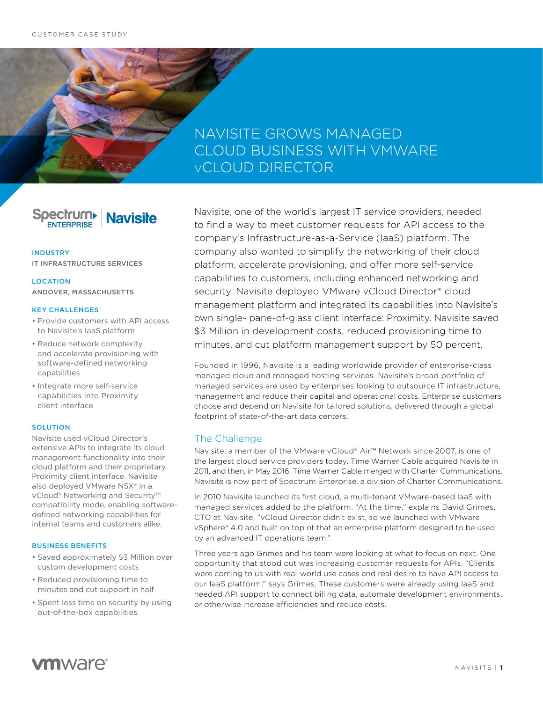# NAVISITE GROWS MANAGED CLOUD BUSINESS WITH VMWARE vCLOUD DIRECTOR

**Spectrum Navisite ENTERPRISE** 

#### INDUSTRY

IT INFRASTRUCTURE SERVICES

**LOCATION** ANDOVER, MASSACHUSETTS

#### KEY CHALLENGES

- Provide customers with API access to Navisite's IaaS platform
- Reduce network complexity and accelerate provisioning with software-defined networking capabilities
- Integrate more self-service capabilities into Proximity client interface

#### SOLUTION

Navisite used vCloud Director's extensive APIs to integrate its cloud management functionality into their cloud platform and their proprietary Proximity client interface. Navisite also deployed VMware NSX® in a vCloud® Networking and Security™ compatibility mode, enabling softwaredefined networking capabilities for internal teams and customers alike.

#### BUSINESS BENEFITS

- Saved approximately \$3 Million over custom development costs
- Reduced provisioning time to minutes and cut support in half
- Spent less time on security by using out-of-the-box capabilities

Navisite, one of the world's largest IT service providers, needed to find a way to meet customer requests for API access to the company's Infrastructure-as-a-Service (IaaS) platform. The company also wanted to simplify the networking of their cloud platform, accelerate provisioning, and offer more self-service capabilities to customers, including enhanced networking and security. Navisite deployed VMware vCloud Director® cloud management platform and integrated its capabilities into Navisite's own single- pane-of-glass client interface: Proximity. Navisite saved \$3 Million in development costs, reduced provisioning time to minutes, and cut platform management support by 50 percent.

Founded in 1996, Navisite is a leading worldwide provider of enterprise-class managed cloud and managed hosting services. Navisite's broad portfolio of managed services are used by enterprises looking to outsource IT infrastructure, management and reduce their capital and operational costs. Enterprise customers choose and depend on Navisite for tailored solutions, delivered through a global footprint of state-of-the-art data centers.

## The Challenge

Navisite, a member of the VMware vCloud® Air™ Network since 2007, is one of the largest cloud service providers today. Time Warner Cable acquired Navisite in 2011, and then, in May 2016, Time Warner Cable merged with Charter Communications. Navisite is now part of Spectrum Enterprise, a division of Charter Communications.

In 2010 Navisite launched its first cloud, a multi-tenant VMware-based IaaS with managed services added to the platform. "At the time," explains David Grimes, CTO at Navisite, "vCloud Director didn't exist, so we launched with VMware vSphere® 4.0 and built on top of that an enterprise platform designed to be used by an advanced IT operations team."

Three years ago Grimes and his team were looking at what to focus on next. One opportunity that stood out was increasing customer requests for APIs. "Clients were coming to us with real-world use cases and real desire to have API access to our IaaS platform," says Grimes. These customers were already using IaaS and needed API support to connect billing data, automate development environments, or otherwise increase efficiencies and reduce costs.

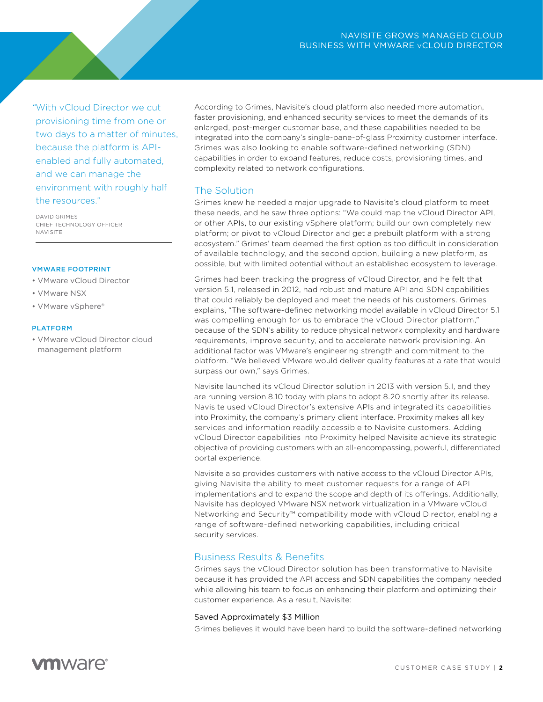*"*With vCloud Director we cut provisioning time from one or two days to a matter of minutes, because the platform is APIenabled and fully automated, and we can manage the environment with roughly half the resources."

DAVID GRIMES CHIEF TECHNOLOGY OFFICER NAVISITE

#### VMWARE FOOTPRINT

- VMware vCloud Director
- VMware NSX
- VMware vSphere®

#### PLATFORM

• VMware vCloud Director cloud management platform

According to Grimes, Navisite's cloud platform also needed more automation, faster provisioning, and enhanced security services to meet the demands of its enlarged, post-merger customer base, and these capabilities needed to be integrated into the company's single-pane-of-glass Proximity customer interface. Grimes was also looking to enable software-defined networking (SDN) capabilities in order to expand features, reduce costs, provisioning times, and complexity related to network configurations.

# The Solution

Grimes knew he needed a major upgrade to Navisite's cloud platform to meet these needs, and he saw three options: "We could map the vCloud Director API, or other APIs, to our existing vSphere platform; build our own completely new platform; or pivot to vCloud Director and get a prebuilt platform with a strong ecosystem." Grimes' team deemed the first option as too difficult in consideration of available technology, and the second option, building a new platform, as possible, but with limited potential without an established ecosystem to leverage.

Grimes had been tracking the progress of vCloud Director, and he felt that version 5.1, released in 2012, had robust and mature API and SDN capabilities that could reliably be deployed and meet the needs of his customers. Grimes explains, "The software-defined networking model available in vCloud Director 5.1 was compelling enough for us to embrace the vCloud Director platform," because of the SDN's ability to reduce physical network complexity and hardware requirements, improve security, and to accelerate network provisioning. An additional factor was VMware's engineering strength and commitment to the platform. "We believed VMware would deliver quality features at a rate that would surpass our own," says Grimes.

Navisite launched its vCloud Director solution in 2013 with version 5.1, and they are running version 8.10 today with plans to adopt 8.20 shortly after its release. Navisite used vCloud Director's extensive APIs and integrated its capabilities into Proximity, the company's primary client interface. Proximity makes all key services and information readily accessible to Navisite customers. Adding vCloud Director capabilities into Proximity helped Navisite achieve its strategic objective of providing customers with an all-encompassing, powerful, differentiated portal experience.

Navisite also provides customers with native access to the vCloud Director APIs, giving Navisite the ability to meet customer requests for a range of API implementations and to expand the scope and depth of its offerings. Additionally, Navisite has deployed VMware NSX network virtualization in a VMware vCloud Networking and Security™ compatibility mode with vCloud Director, enabling a range of software-defined networking capabilities, including critical security services.

# Business Results & Benefits

Grimes says the vCloud Director solution has been transformative to Navisite because it has provided the API access and SDN capabilities the company needed while allowing his team to focus on enhancing their platform and optimizing their customer experience. As a result, Navisite:

## Saved Approximately \$3 Million

Grimes believes it would have been hard to build the software-defined networking